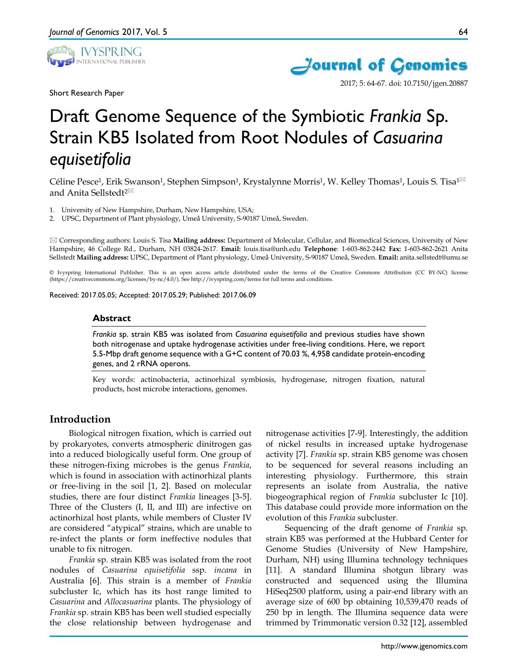

Short Research Paper





2017; 5: 64-67. doi: 10.7150/jgen.20887

# Draft Genome Sequence of the Symbiotic *Frankia* Sp. Strain KB5 Isolated from Root Nodules of *Casuarina equisetifolia*

Céline Pesce<sup>1</sup>, Erik Swanson<sup>1</sup>, Stephen Simpson<sup>1</sup>, Krystalynne Morris<sup>1</sup>, W. Kelley Thomas<sup>1</sup>, Louis S. Tisa<sup>1 $\boxtimes$ </sup> and Anita Sellstedt<sup>2⊠</sup>

1. University of New Hampshire, Durham, New Hampshire, USA;

2. UPSC, Department of Plant physiology, Umeå University, S-90187 Umeå, Sweden.

 Corresponding authors: Louis S. Tisa **Mailing address:** Department of Molecular, Cellular, and Biomedical Sciences, University of New Hampshire, 46 College Rd., Durham, NH 03824-2617. **Email:** louis.tisa@unh.edu **Telephone**: 1-603-862-2442 **Fax:** 1-603-862-2621 Anita Sellstedt **Mailing address:** UPSC, Department of Plant physiology, Umeå University, S-90187 Umeå, Sweden. **Email:** anita.sellstedt@umu.se

© Ivyspring International Publisher. This is an open access article distributed under the terms of the Creative Commons Attribution (CC BY-NC) license (https://creativecommons.org/licenses/by-nc/4.0/). See http://ivyspring.com/terms for full terms and conditions.

Received: 2017.05.05; Accepted: 2017.05.29; Published: 2017.06.09

#### **Abstract**

*Frankia* sp. strain KB5 was isolated from *Casuarina equisetifolia* and previous studies have shown both nitrogenase and uptake hydrogenase activities under free-living conditions. Here, we report 5.5-Mbp draft genome sequence with a G+C content of 70.03 %, 4,958 candidate protein-encoding genes, and 2 rRNA operons.

Key words: actinobacteria, actinorhizal symbiosis, hydrogenase, nitrogen fixation, natural products, host microbe interactions, genomes.

# **Introduction**

Biological nitrogen fixation, which is carried out by prokaryotes, converts atmospheric dinitrogen gas into a reduced biologically useful form. One group of these nitrogen-fixing microbes is the genus *Frankia*, which is found in association with actinorhizal plants or free-living in the soil [1, 2]. Based on molecular studies, there are four distinct *Frankia* lineages [3-5]. Three of the Clusters (I, II, and III) are infective on actinorhizal host plants, while members of Cluster IV are considered "atypical" strains, which are unable to re-infect the plants or form ineffective nodules that unable to fix nitrogen.

*Frankia* sp. strain KB5 was isolated from the root nodules of *Casuarina equisetifolia* ssp. *incana* in Australia [6]. This strain is a member of *Frankia* subcluster Ic, which has its host range limited to *Casuarina* and *Allocasuarina* plants. The physiology of *Frankia* sp. strain KB5 has been well studied especially the close relationship between hydrogenase and

nitrogenase activities [7-9]. Interestingly, the addition of nickel results in increased uptake hydrogenase activity [7]. *Frankia* sp. strain KB5 genome was chosen to be sequenced for several reasons including an interesting physiology. Furthermore, this strain represents an isolate from Australia, the native biogeographical region of *Frankia* subcluster Ic [10]. This database could provide more information on the evolution of this *Frankia* subcluster.

Sequencing of the draft genome of *Frankia* sp. strain KB5 was performed at the Hubbard Center for Genome Studies (University of New Hampshire, Durham, NH) using Illumina technology techniques [11]. A standard Illumina shotgun library was constructed and sequenced using the Illumina HiSeq2500 platform, using a pair-end library with an average size of 600 bp obtaining 10,539,470 reads of 250 bp in length. The Illumina sequence data were trimmed by Trimmonatic version 0.32 [12], assembled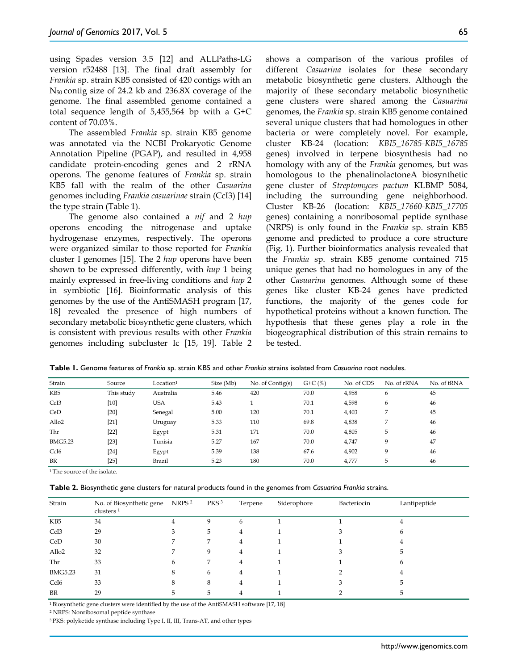using Spades version 3.5 [12] and ALLPaths-LG version r52488 [13]. The final draft assembly for *Frankia* sp. strain KB5 consisted of 420 contigs with an N50 contig size of 24.2 kb and 236.8X coverage of the genome. The final assembled genome contained a total sequence length of 5,455,564 bp with a G+C content of 70.03%.

The assembled *Frankia* sp. strain KB5 genome was annotated via the NCBI Prokaryotic Genome Annotation Pipeline (PGAP), and resulted in 4,958 candidate protein-encoding genes and 2 rRNA operons. The genome features of *Frankia* sp. strain KB5 fall with the realm of the other *Casuarina* genomes including *Frankia casuarinae* strain (CcI3) [14] the type strain (Table 1).

The genome also contained a *nif* and 2 *hup* operons encoding the nitrogenase and uptake hydrogenase enzymes, respectively. The operons were organized similar to those reported for *Frankia* cluster I genomes [15]. The 2 *hup* operons have been shown to be expressed differently, with *hup* 1 being mainly expressed in free-living conditions and *hup* 2 in symbiotic [16]. Bioinformatic analysis of this genomes by the use of the AntiSMASH program [17, 18] revealed the presence of high numbers of secondary metabolic biosynthetic gene clusters, which is consistent with previous results with other *Frankia*  genomes including subcluster Ic [15, 19]. Table 2

shows a comparison of the various profiles of different *Casuarina* isolates for these secondary metabolic biosynthetic gene clusters. Although the majority of these secondary metabolic biosynthetic gene clusters were shared among the *Casuarina* genomes, the *Frankia* sp. strain KB5 genome contained several unique clusters that had homologues in other bacteria or were completely novel. For example, cluster KB-24 (location: *KBI5\_16785-KBI5\_16785* genes) involved in terpene biosynthesis had no homology with any of the *Frankia* genomes, but was homologous to the phenalinolactoneA biosynthetic gene cluster of *Streptomyces pactum* KLBMP 5084, including the surrounding gene neighborhood. Cluster KB-26 (location: *KBI5\_17660-KBI5\_17705* genes) containing a nonribosomal peptide synthase (NRPS) is only found in the *Frankia* sp. strain KB5 genome and predicted to produce a core structure (Fig. 1). Further bioinformatics analysis revealed that the *Frankia* sp. strain KB5 genome contained 715 unique genes that had no homologues in any of the other *Casuarina* genomes. Although some of these genes like cluster KB-24 genes have predicted functions, the majority of the genes code for hypothetical proteins without a known function. The hypothesis that these genes play a role in the biogeographical distribution of this strain remains to be tested.

| Table 1. Genome features of Frankia sp. strain KB5 and other Frankia strains isolated from Casuarina root nodules. |  |  |
|--------------------------------------------------------------------------------------------------------------------|--|--|
|--------------------------------------------------------------------------------------------------------------------|--|--|

| Strain            | Source     | Location <sup>1</sup> | Size (Mb) | No. of Contig(s) | $G + C$ (%) | No. of CDS | No. of rRNA | No. of tRNA |
|-------------------|------------|-----------------------|-----------|------------------|-------------|------------|-------------|-------------|
| KB <sub>5</sub>   | This study | Australia             | 5.46      | 420              | 70.0        | 4,958      | 6           | 45          |
| CcI <sub>3</sub>  | $[10]$     | USA                   | 5.43      |                  | 70.1        | 4,598      | 6           | 46          |
| CeD               | $[20]$     | Senegal               | 5.00      | 120              | 70.1        | 4,403      |             | 45          |
| Allo <sub>2</sub> | $[21]$     | Uruguay               | 5.33      | 110              | 69.8        | 4,838      |             | 46          |
| Thr               | $[22]$     | Egypt                 | 5.31      | 171              | 70.0        | 4,805      | 5           | 46          |
| <b>BMG5.23</b>    | $[23]$     | Tunisia               | 5.27      | 167              | 70.0        | 4,747      | 9           | 47          |
| CcI <sub>6</sub>  | $[24]$     | Egypt                 | 5.39      | 138              | 67.6        | 4,902      | 9           | 46          |
| BR                | $[25]$     | Brazil                | 5.23      | 180              | 70.0        | 4,777      | 5           | 46          |

<sup>1</sup> The source of the isolate.

**Table 2.** Biosynthetic gene clusters for natural products found in the genomes from *Casuarina Frankia* strains.

| Strain            | No. of Biosynthetic gene<br>clusters $1$ | NRPS <sup>2</sup> | PKS <sup>3</sup> | Terpene      | Siderophore | Bacteriocin | Lantipeptide |
|-------------------|------------------------------------------|-------------------|------------------|--------------|-------------|-------------|--------------|
| KB5               | 34                                       |                   | Q                | <sub>6</sub> |             |             |              |
| CcI <sub>3</sub>  | 29                                       |                   | 5                | 4            |             |             |              |
| CeD               | 30                                       |                   | ⇁                | 4            |             |             |              |
| Allo <sub>2</sub> | 32                                       |                   | 9                | 4            |             |             |              |
| Thr               | 33                                       | 6                 |                  | 4            |             |             |              |
| <b>BMG5.23</b>    | 31                                       | 8                 | 6                | 4            |             |             |              |
| CcI <sub>6</sub>  | 33                                       | 8                 | 8                | 4            |             |             |              |
| BR                | 29                                       |                   | 5                |              |             |             |              |

1 Biosynthetic gene clusters were identified by the use of the AntiSMASH software [17, 18]

<sup>2</sup> NRPS: Nonribosomal peptide synthase

3 PKS: polyketide synthase including Type I, II, III, Trans-AT, and other types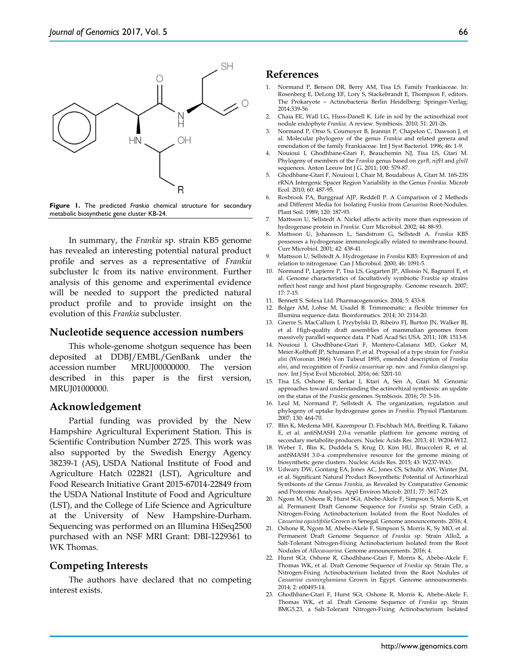



In summary, the *Frankia* sp. strain KB5 genome has revealed an interesting potential natural product profile and serves as a representative of *Frankia* subcluster Ic from its native environment. Further analysis of this genome and experimental evidence will be needed to support the predicted natural product profile and to provide insight on the evolution of this *Frankia* subcluster.

#### **Nucleotide sequence accession numbers**

This whole-genome shotgun sequence has been deposited at DDBJ/EMBL/GenBank under the accession number MRUJ00000000. The version described in this paper is the first version, MRUJ01000000.

## **Acknowledgement**

Partial funding was provided by the New Hampshire Agricultural Experiment Station. This is Scientific Contribution Number 2725. This work was also supported by the Swedish Energy Agency 38239-1 (AS), USDA National Institute of Food and Agriculture Hatch 022821 (LST), Agriculture and Food Research Initiative Grant 2015-67014-22849 from the USDA National Institute of Food and Agriculture (LST), and the College of Life Science and Agriculture at the University of New Hampshire-Durham. Sequencing was performed on an Illumina HiSeq2500 purchased with an NSF MRI Grant: DBI-1229361 to WK Thomas.

# **Competing Interests**

The authors have declared that no competing interest exists.

## **References**

- 1. Normand P, Benson DR, Berry AM, Tisa LS. Family Frankiaceae. In: Rosenberg E, DeLong EF, Lory S, Stackebrandt E, Thompson F, editors. The Prokaryote – Actinobacteria Berlin Heidelberg: Springer-Verlag; 2014:339-56
- 2. Chaia EE, Wall LG, Huss-Danell K. Life in soil by the actinorhizal root nodule endophyte *Frankia*. A review. Symbiosis. 2010; 51: 201-26.
- 3. Normand P, Orso S, Cournoyer B, Jeannin P, Chapelon C, Dawson J, et al. Molecular phylogeny of the genus *Frankia* and related genera and emendation of the family Frankiaceae. Int J Syst Bacteriol. 1996; 46: 1-9.
- 4. Nouioui I, Ghodhbane-Gtari F, Beauchemin NJ, Tisa LS, Gtari M. Phylogeny of members of the *Frankia* genus based on *gyrB*, *nifH* and *glnII* sequences. Anton Leeuw Int J G. 2011; 100: 579-87.
- 5. Ghodhbane-Gtari F, Nouioui I, Chair M, Boudabous A, Gtari M. 16S-23S rRNA Intergenic Spacer Region Variability in the Genus *Frankia*. Microb Ecol. 2010; 60: 487-95.
- 6. Rosbrook PA, Burggraaf AJP, Reddell P. A Comparison of 2 Methods and Different Media for Isolating *Frankia* from *Casuarina* Root-Nodules. Plant Soil. 1989; 120: 187-93.
- 7. Mattsson U, Sellstedt A. Nickel affects activity more than expression of hydrogenase protein in *Frankia*. Curr Microbiol. 2002; 44: 88-93.
- 8. Mattsson U, Johansson L, Sandstrom G, Sellstedt A. *Frankia* KB5 possesses a hydrogenase immunologically related to membrane-bound. Curr Microbiol. 2001; 42: 438-41.
- 9. Mattsson U, Sellstedt A. Hydrogenase in *Frankia* KB5: Expression of and relation to nitrogenase. Can J Microbiol. 2000; 46: 1091-5.
- 10. Normand P, Lapierre P, Tisa LS, Gogarten JP, Alloisio N, Bagnarol E, et al. Genome characteristics of facultatively symbiotic *Frankia* sp strains reflect host range and host plant biogeography. Genome research. 2007; 17: 7-15.
- 11. Bennett S. Solexa Ltd. Pharmacogenomics. 2004; 5: 433-8.
- 12. Bolger AM, Lohse M, Usadel B. Trimmomatic: a flexible trimmer for Illumina sequence data. Bioinformatics. 2014; 30: 2114-20.
- 13. Gnerre S, MacCallum I, Przybylski D, Ribeiro FJ, Burton JN, Walker BJ, et al. High-quality draft assemblies of mammalian genomes from massively parallel sequence data. P Natl Acad Sci USA. 2011; 108: 1513-8.
- 14. Nouioui I, Ghodhbane-Gtari F, Montero-Calasanz MD, Goker M, Meier-Kolthoff JP, Schumann P, et al. Proposal of a type strain for *Frankia alni* (Woronin 1866) Von Tubeuf 1895, emended description of *Frankia alni*, and recognition of *Frankia casuarinae* sp. nov. and *Frankia elaeagni* sp. nov. Int J Syst Evol Microbiol. 2016; 66: 5201-10.
- 15. Tisa LS, Oshone R, Sarkar I, Ktari A, Sen A, Gtari M. Genomic approaches toward understanding the actinorhizal symbiosis: an update on the status of the *Frankia* genomes. Symbiosis. 2016; 70: 5-16.
- 16. Leul M, Normand P, Sellstedt A. The organization, regulation and phylogeny of uptake hydrogenase genes in *Frankia*. Physiol Plantarum. 2007; 130: 464-70.
- 17. Blin K, Medema MH, Kazempour D, Fischbach MA, Breitling R, Takano E, et al. antiSMASH 2.0-a versatile platform for genome mining of secondary metabolite producers. Nucleic Acids Res. 2013; 41: W204-W12.
- 18. Weber T, Blin K, Duddela S, Krug D, Kim HU, Bruccoleri R, et al. antiSMASH 3.0-a comprehensive resource for the genome mining of biosynthetic gene clusters. Nucleic Acids Res. 2015; 43: W237-W43.
- 19. Udwary DW, Gontang EA, Jones AC, Jones CS, Schultz AW, Winter JM, et al. Significant Natural Product Biosynthetic Potential of Actinorhizal Symbionts of the Genus *Frankia*, as Revealed by Comparative Genomic and Proteomic Analyses. Appl Environ Microb. 2011; 77: 3617-25.
- 20. Ngom M, Oshone R, Hurst SGt, Abebe-Akele F, Simpson S, Morris K, et al. Permanent Draft Genome Sequence for *Frankia* sp. Strain CeD, a Nitrogen-Fixing Actinobacterium Isolated from the Root Nodules of *Casuarina equistifolia* Grown in Senegal. Genome announcements. 2016; 4.
- 21. Oshone R, Ngom M, Abebe-Akele F, Simpson S, Morris K, Sy MO, et al. Permanent Draft Genome Sequence of *Frankia* sp. Strain Allo2, a Salt-Tolerant Nitrogen-Fixing Actinobacterium Isolated from the Root Nodules of *Allocasuarina*. Genome announcements. 2016; 4.
- 22. Hurst SGt, Oshone R, Ghodhbane-Gtari F, Morris K, Abebe-Akele F, Thomas WK, et al. Draft Genome Sequence of *Frankia* sp. Strain Thr, a Nitrogen-Fixing Actinobacterium Isolated from the Root Nodules of *Casuarina cunninghamiana* Grown in Egypt. Genome announcements. 2014; 2: e00493-14.
- 23. Ghodhbane-Gtari F, Hurst SGt, Oshone R, Morris K, Abebe-Akele F, Thomas WK, et al. Draft Genome Sequence of *Frankia* sp. Strain BMG5.23, a Salt-Tolerant Nitrogen-Fixing Actinobacterium Isolated